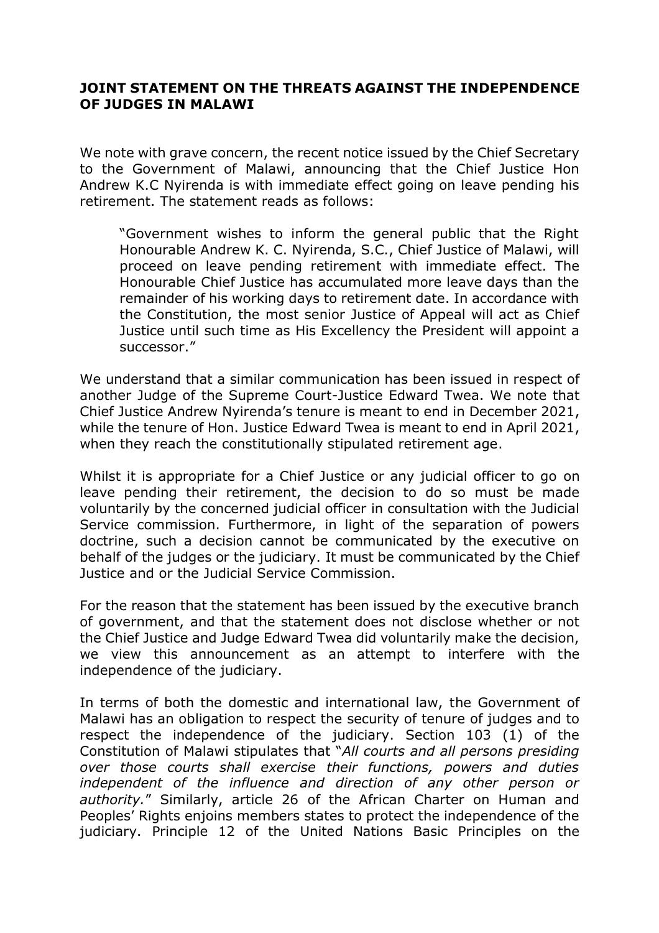## **JOINT STATEMENT ON THE THREATS AGAINST THE INDEPENDENCE OF JUDGES IN MALAWI**

We note with grave concern, the recent notice issued by the Chief Secretary to the Government of Malawi, announcing that the Chief Justice Hon Andrew K.C Nyirenda is with immediate effect going on leave pending his retirement. The statement reads as follows:

"Government wishes to inform the general public that the Right Honourable Andrew K. C. Nyirenda, S.C., Chief Justice of Malawi, will proceed on leave pending retirement with immediate effect. The Honourable Chief Justice has accumulated more leave days than the remainder of his working days to retirement date. In accordance with the Constitution, the most senior Justice of Appeal will act as Chief Justice until such time as His Excellency the President will appoint a successor."

We understand that a similar communication has been issued in respect of another Judge of the Supreme Court-Justice Edward Twea. We note that Chief Justice Andrew Nyirenda's tenure is meant to end in December 2021, while the tenure of Hon. Justice Edward Twea is meant to end in April 2021, when they reach the constitutionally stipulated retirement age.

Whilst it is appropriate for a Chief Justice or any judicial officer to go on leave pending their retirement, the decision to do so must be made voluntarily by the concerned judicial officer in consultation with the Judicial Service commission. Furthermore, in light of the separation of powers doctrine, such a decision cannot be communicated by the executive on behalf of the judges or the judiciary. It must be communicated by the Chief Justice and or the Judicial Service Commission.

For the reason that the statement has been issued by the executive branch of government, and that the statement does not disclose whether or not the Chief Justice and Judge Edward Twea did voluntarily make the decision, we view this announcement as an attempt to interfere with the independence of the judiciary.

In terms of both the domestic and international law, the Government of Malawi has an obligation to respect the security of tenure of judges and to respect the independence of the judiciary. Section 103 (1) of the Constitution of Malawi stipulates that "*All courts and all persons presiding over those courts shall exercise their functions, powers and duties independent of the influence and direction of any other person or authority.*" Similarly, article 26 of the African Charter on Human and Peoples' Rights enjoins members states to protect the independence of the judiciary. Principle 12 of the United Nations Basic Principles on the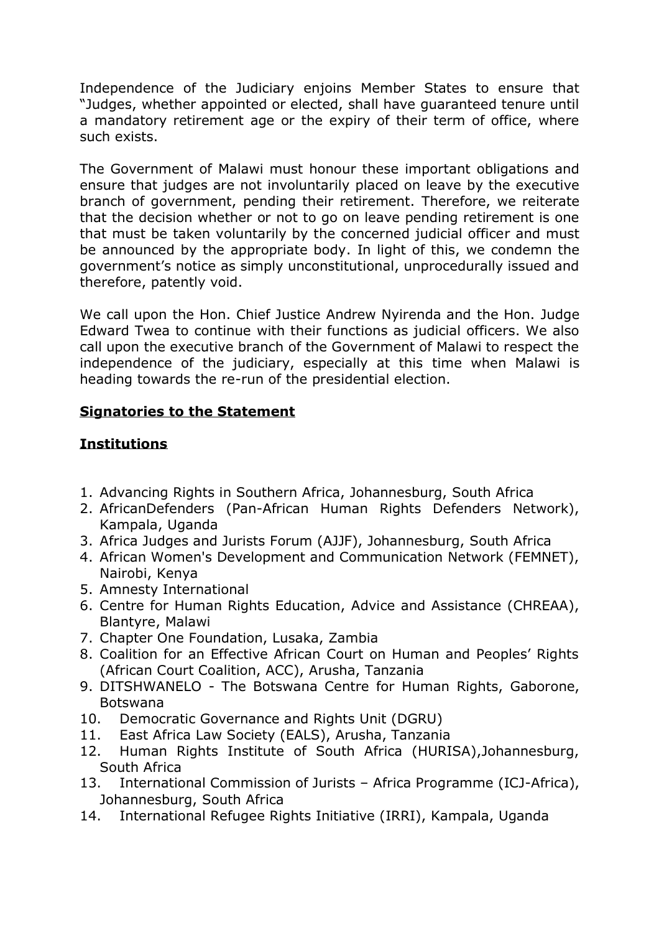Independence of the Judiciary enjoins Member States to ensure that "Judges, whether appointed or elected, shall have guaranteed tenure until a mandatory retirement age or the expiry of their term of office, where such exists.

The Government of Malawi must honour these important obligations and ensure that judges are not involuntarily placed on leave by the executive branch of government, pending their retirement. Therefore, we reiterate that the decision whether or not to go on leave pending retirement is one that must be taken voluntarily by the concerned judicial officer and must be announced by the appropriate body. In light of this, we condemn the government's notice as simply unconstitutional, unprocedurally issued and therefore, patently void.

We call upon the Hon. Chief Justice Andrew Nyirenda and the Hon. Judge Edward Twea to continue with their functions as judicial officers. We also call upon the executive branch of the Government of Malawi to respect the independence of the judiciary, especially at this time when Malawi is heading towards the re-run of the presidential election.

## **Signatories to the Statement**

## **Institutions**

- 1. Advancing Rights in Southern Africa, Johannesburg, South Africa
- 2. AfricanDefenders (Pan-African Human Rights Defenders Network), Kampala, Uganda
- 3. Africa Judges and Jurists Forum (AJJF), Johannesburg, South Africa
- 4. African Women's Development and Communication Network (FEMNET), Nairobi, Kenya
- 5. Amnesty International
- 6. Centre for Human Rights Education, Advice and Assistance (CHREAA), Blantyre, Malawi
- 7. Chapter One Foundation, Lusaka, Zambia
- 8. Coalition for an Effective African Court on Human and Peoples' Rights (African Court Coalition, ACC), Arusha, Tanzania
- 9. DITSHWANELO The Botswana Centre for Human Rights, Gaborone, Botswana
- 10. Democratic Governance and Rights Unit (DGRU)
- 11. East Africa Law Society (EALS), Arusha, Tanzania
- 12. Human Rights Institute of South Africa (HURISA),Johannesburg, South Africa
- 13. International Commission of Jurists Africa Programme (ICJ-Africa), Johannesburg, South Africa
- 14. International Refugee Rights Initiative (IRRI), Kampala, Uganda